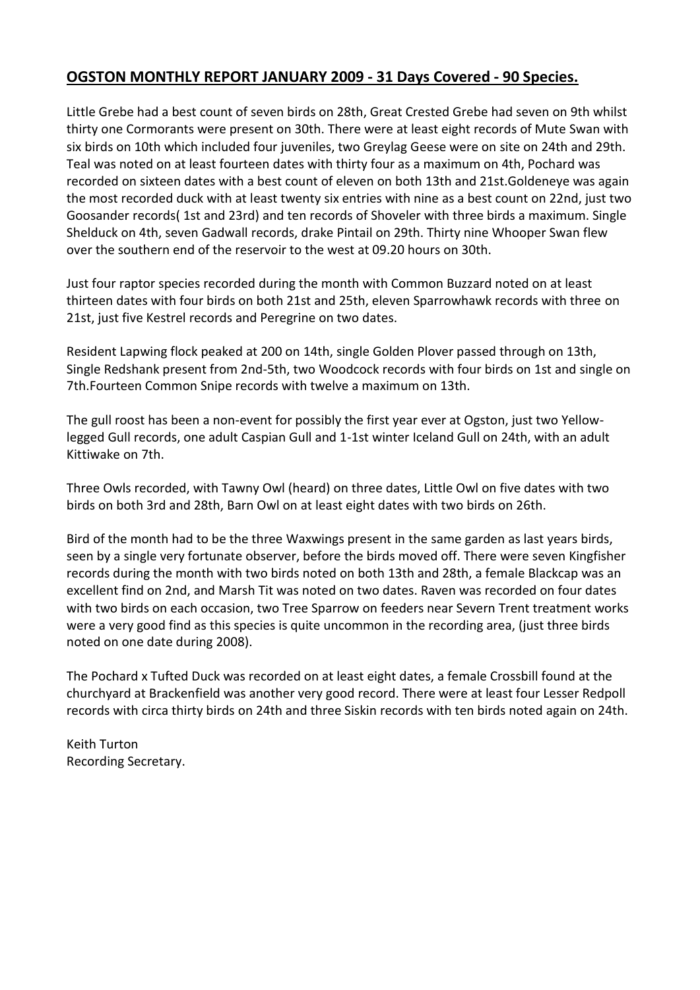## **OGSTON MONTHLY REPORT JANUARY 2009 - 31 Days Covered - 90 Species.**

Little Grebe had a best count of seven birds on 28th, Great Crested Grebe had seven on 9th whilst thirty one Cormorants were present on 30th. There were at least eight records of Mute Swan with six birds on 10th which included four juveniles, two Greylag Geese were on site on 24th and 29th. Teal was noted on at least fourteen dates with thirty four as a maximum on 4th, Pochard was recorded on sixteen dates with a best count of eleven on both 13th and 21st.Goldeneye was again the most recorded duck with at least twenty six entries with nine as a best count on 22nd, just two Goosander records( 1st and 23rd) and ten records of Shoveler with three birds a maximum. Single Shelduck on 4th, seven Gadwall records, drake Pintail on 29th. Thirty nine Whooper Swan flew over the southern end of the reservoir to the west at 09.20 hours on 30th.

Just four raptor species recorded during the month with Common Buzzard noted on at least thirteen dates with four birds on both 21st and 25th, eleven Sparrowhawk records with three on 21st, just five Kestrel records and Peregrine on two dates.

Resident Lapwing flock peaked at 200 on 14th, single Golden Plover passed through on 13th, Single Redshank present from 2nd-5th, two Woodcock records with four birds on 1st and single on 7th.Fourteen Common Snipe records with twelve a maximum on 13th.

The gull roost has been a non-event for possibly the first year ever at Ogston, just two Yellowlegged Gull records, one adult Caspian Gull and 1-1st winter Iceland Gull on 24th, with an adult Kittiwake on 7th.

Three Owls recorded, with Tawny Owl (heard) on three dates, Little Owl on five dates with two birds on both 3rd and 28th, Barn Owl on at least eight dates with two birds on 26th.

Bird of the month had to be the three Waxwings present in the same garden as last years birds, seen by a single very fortunate observer, before the birds moved off. There were seven Kingfisher records during the month with two birds noted on both 13th and 28th, a female Blackcap was an excellent find on 2nd, and Marsh Tit was noted on two dates. Raven was recorded on four dates with two birds on each occasion, two Tree Sparrow on feeders near Severn Trent treatment works were a very good find as this species is quite uncommon in the recording area, (just three birds noted on one date during 2008).

The Pochard x Tufted Duck was recorded on at least eight dates, a female Crossbill found at the churchyard at Brackenfield was another very good record. There were at least four Lesser Redpoll records with circa thirty birds on 24th and three Siskin records with ten birds noted again on 24th.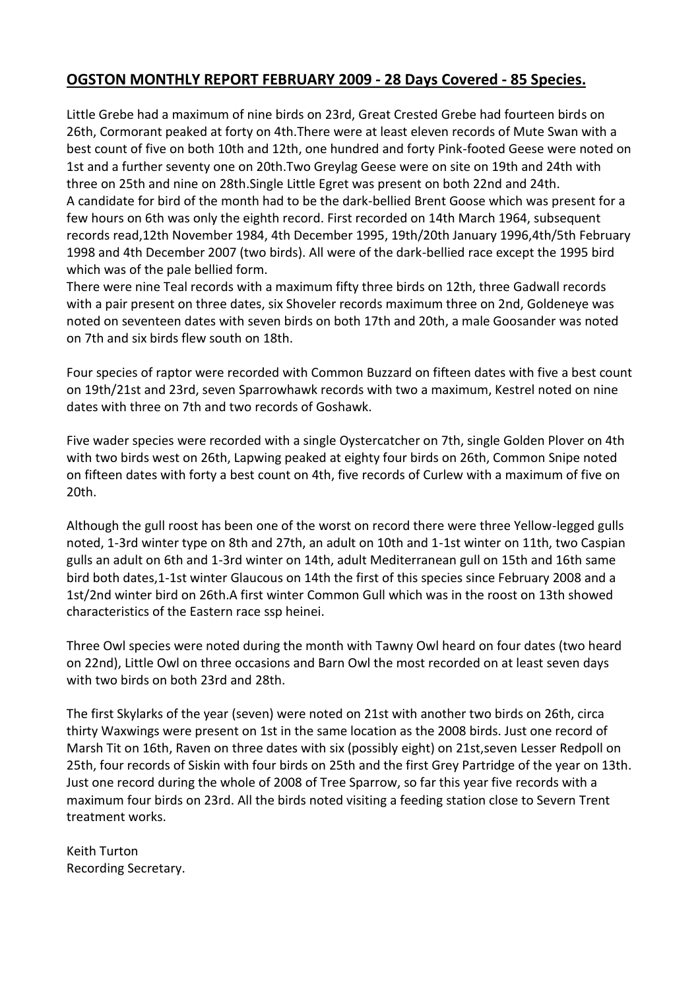#### **OGSTON MONTHLY REPORT FEBRUARY 2009 - 28 Days Covered - 85 Species.**

Little Grebe had a maximum of nine birds on 23rd, Great Crested Grebe had fourteen birds on 26th, Cormorant peaked at forty on 4th.There were at least eleven records of Mute Swan with a best count of five on both 10th and 12th, one hundred and forty Pink-footed Geese were noted on 1st and a further seventy one on 20th.Two Greylag Geese were on site on 19th and 24th with three on 25th and nine on 28th.Single Little Egret was present on both 22nd and 24th. A candidate for bird of the month had to be the dark-bellied Brent Goose which was present for a few hours on 6th was only the eighth record. First recorded on 14th March 1964, subsequent records read,12th November 1984, 4th December 1995, 19th/20th January 1996,4th/5th February 1998 and 4th December 2007 (two birds). All were of the dark-bellied race except the 1995 bird which was of the pale bellied form.

There were nine Teal records with a maximum fifty three birds on 12th, three Gadwall records with a pair present on three dates, six Shoveler records maximum three on 2nd, Goldeneye was noted on seventeen dates with seven birds on both 17th and 20th, a male Goosander was noted on 7th and six birds flew south on 18th.

Four species of raptor were recorded with Common Buzzard on fifteen dates with five a best count on 19th/21st and 23rd, seven Sparrowhawk records with two a maximum, Kestrel noted on nine dates with three on 7th and two records of Goshawk.

Five wader species were recorded with a single Oystercatcher on 7th, single Golden Plover on 4th with two birds west on 26th, Lapwing peaked at eighty four birds on 26th, Common Snipe noted on fifteen dates with forty a best count on 4th, five records of Curlew with a maximum of five on 20th.

Although the gull roost has been one of the worst on record there were three Yellow-legged gulls noted, 1-3rd winter type on 8th and 27th, an adult on 10th and 1-1st winter on 11th, two Caspian gulls an adult on 6th and 1-3rd winter on 14th, adult Mediterranean gull on 15th and 16th same bird both dates,1-1st winter Glaucous on 14th the first of this species since February 2008 and a 1st/2nd winter bird on 26th.A first winter Common Gull which was in the roost on 13th showed characteristics of the Eastern race ssp heinei.

Three Owl species were noted during the month with Tawny Owl heard on four dates (two heard on 22nd), Little Owl on three occasions and Barn Owl the most recorded on at least seven days with two birds on both 23rd and 28th.

The first Skylarks of the year (seven) were noted on 21st with another two birds on 26th, circa thirty Waxwings were present on 1st in the same location as the 2008 birds. Just one record of Marsh Tit on 16th, Raven on three dates with six (possibly eight) on 21st,seven Lesser Redpoll on 25th, four records of Siskin with four birds on 25th and the first Grey Partridge of the year on 13th. Just one record during the whole of 2008 of Tree Sparrow, so far this year five records with a maximum four birds on 23rd. All the birds noted visiting a feeding station close to Severn Trent treatment works.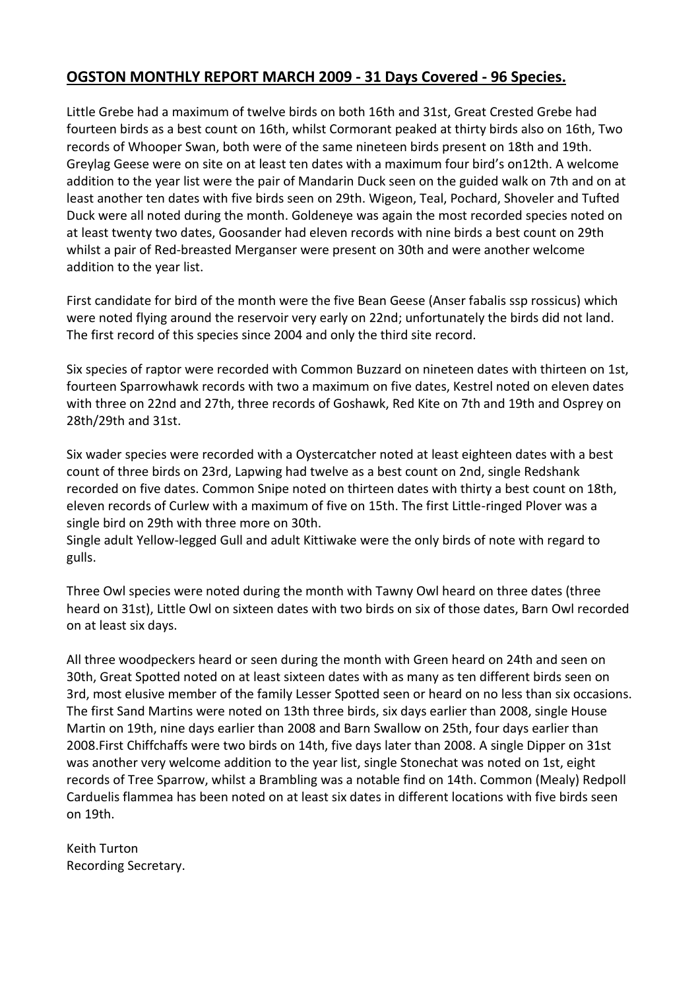## **OGSTON MONTHLY REPORT MARCH 2009 - 31 Days Covered - 96 Species.**

Little Grebe had a maximum of twelve birds on both 16th and 31st, Great Crested Grebe had fourteen birds as a best count on 16th, whilst Cormorant peaked at thirty birds also on 16th, Two records of Whooper Swan, both were of the same nineteen birds present on 18th and 19th. Greylag Geese were on site on at least ten dates with a maximum four bird's on12th. A welcome addition to the year list were the pair of Mandarin Duck seen on the guided walk on 7th and on at least another ten dates with five birds seen on 29th. Wigeon, Teal, Pochard, Shoveler and Tufted Duck were all noted during the month. Goldeneye was again the most recorded species noted on at least twenty two dates, Goosander had eleven records with nine birds a best count on 29th whilst a pair of Red-breasted Merganser were present on 30th and were another welcome addition to the year list.

First candidate for bird of the month were the five Bean Geese (Anser fabalis ssp rossicus) which were noted flying around the reservoir very early on 22nd; unfortunately the birds did not land. The first record of this species since 2004 and only the third site record.

Six species of raptor were recorded with Common Buzzard on nineteen dates with thirteen on 1st, fourteen Sparrowhawk records with two a maximum on five dates, Kestrel noted on eleven dates with three on 22nd and 27th, three records of Goshawk, Red Kite on 7th and 19th and Osprey on 28th/29th and 31st.

Six wader species were recorded with a Oystercatcher noted at least eighteen dates with a best count of three birds on 23rd, Lapwing had twelve as a best count on 2nd, single Redshank recorded on five dates. Common Snipe noted on thirteen dates with thirty a best count on 18th, eleven records of Curlew with a maximum of five on 15th. The first Little-ringed Plover was a single bird on 29th with three more on 30th.

Single adult Yellow-legged Gull and adult Kittiwake were the only birds of note with regard to gulls.

Three Owl species were noted during the month with Tawny Owl heard on three dates (three heard on 31st), Little Owl on sixteen dates with two birds on six of those dates, Barn Owl recorded on at least six days.

All three woodpeckers heard or seen during the month with Green heard on 24th and seen on 30th, Great Spotted noted on at least sixteen dates with as many as ten different birds seen on 3rd, most elusive member of the family Lesser Spotted seen or heard on no less than six occasions. The first Sand Martins were noted on 13th three birds, six days earlier than 2008, single House Martin on 19th, nine days earlier than 2008 and Barn Swallow on 25th, four days earlier than 2008.First Chiffchaffs were two birds on 14th, five days later than 2008. A single Dipper on 31st was another very welcome addition to the year list, single Stonechat was noted on 1st, eight records of Tree Sparrow, whilst a Brambling was a notable find on 14th. Common (Mealy) Redpoll Carduelis flammea has been noted on at least six dates in different locations with five birds seen on 19th.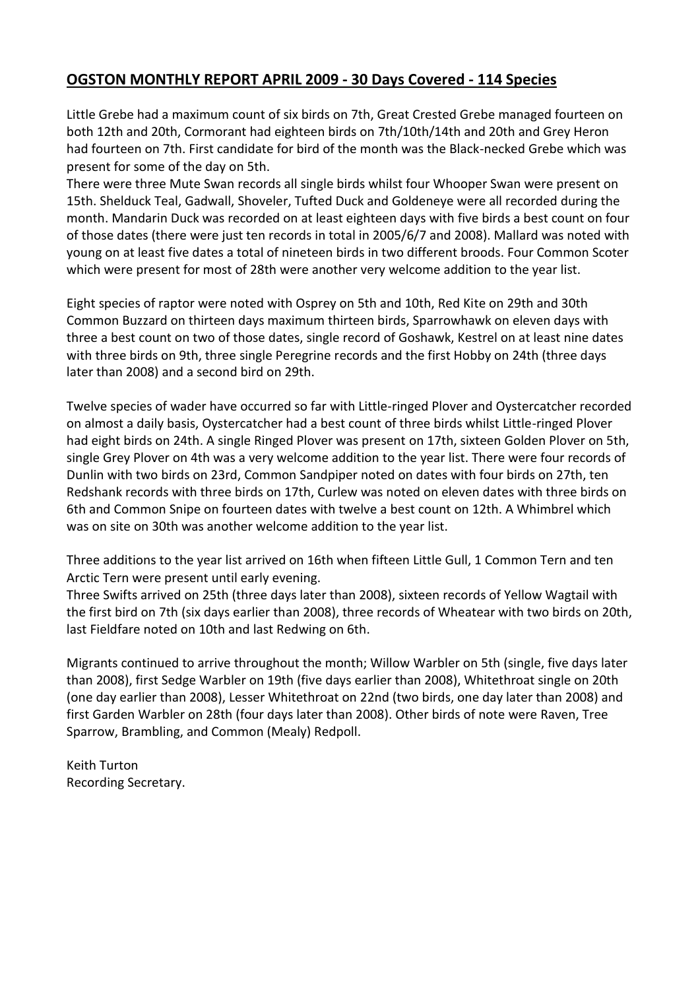#### **OGSTON MONTHLY REPORT APRIL 2009 - 30 Days Covered - 114 Species**

Little Grebe had a maximum count of six birds on 7th, Great Crested Grebe managed fourteen on both 12th and 20th, Cormorant had eighteen birds on 7th/10th/14th and 20th and Grey Heron had fourteen on 7th. First candidate for bird of the month was the Black-necked Grebe which was present for some of the day on 5th.

There were three Mute Swan records all single birds whilst four Whooper Swan were present on 15th. Shelduck Teal, Gadwall, Shoveler, Tufted Duck and Goldeneye were all recorded during the month. Mandarin Duck was recorded on at least eighteen days with five birds a best count on four of those dates (there were just ten records in total in 2005/6/7 and 2008). Mallard was noted with young on at least five dates a total of nineteen birds in two different broods. Four Common Scoter which were present for most of 28th were another very welcome addition to the year list.

Eight species of raptor were noted with Osprey on 5th and 10th, Red Kite on 29th and 30th Common Buzzard on thirteen days maximum thirteen birds, Sparrowhawk on eleven days with three a best count on two of those dates, single record of Goshawk, Kestrel on at least nine dates with three birds on 9th, three single Peregrine records and the first Hobby on 24th (three days later than 2008) and a second bird on 29th.

Twelve species of wader have occurred so far with Little-ringed Plover and Oystercatcher recorded on almost a daily basis, Oystercatcher had a best count of three birds whilst Little-ringed Plover had eight birds on 24th. A single Ringed Plover was present on 17th, sixteen Golden Plover on 5th, single Grey Plover on 4th was a very welcome addition to the year list. There were four records of Dunlin with two birds on 23rd, Common Sandpiper noted on dates with four birds on 27th, ten Redshank records with three birds on 17th, Curlew was noted on eleven dates with three birds on 6th and Common Snipe on fourteen dates with twelve a best count on 12th. A Whimbrel which was on site on 30th was another welcome addition to the year list.

Three additions to the year list arrived on 16th when fifteen Little Gull, 1 Common Tern and ten Arctic Tern were present until early evening.

Three Swifts arrived on 25th (three days later than 2008), sixteen records of Yellow Wagtail with the first bird on 7th (six days earlier than 2008), three records of Wheatear with two birds on 20th, last Fieldfare noted on 10th and last Redwing on 6th.

Migrants continued to arrive throughout the month; Willow Warbler on 5th (single, five days later than 2008), first Sedge Warbler on 19th (five days earlier than 2008), Whitethroat single on 20th (one day earlier than 2008), Lesser Whitethroat on 22nd (two birds, one day later than 2008) and first Garden Warbler on 28th (four days later than 2008). Other birds of note were Raven, Tree Sparrow, Brambling, and Common (Mealy) Redpoll.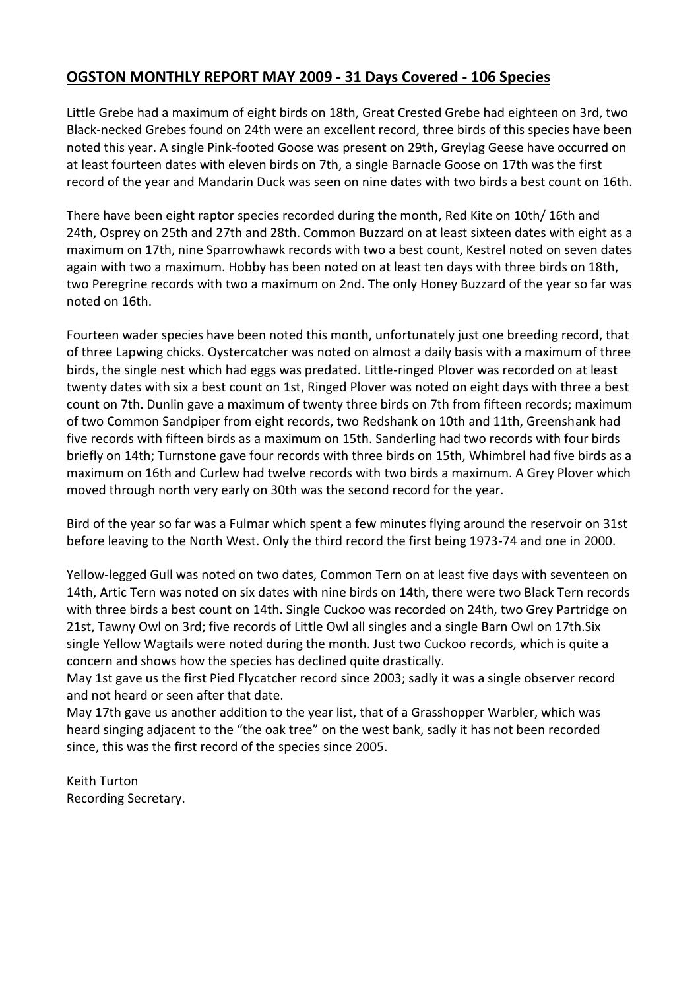## **OGSTON MONTHLY REPORT MAY 2009 - 31 Days Covered - 106 Species**

Little Grebe had a maximum of eight birds on 18th, Great Crested Grebe had eighteen on 3rd, two Black-necked Grebes found on 24th were an excellent record, three birds of this species have been noted this year. A single Pink-footed Goose was present on 29th, Greylag Geese have occurred on at least fourteen dates with eleven birds on 7th, a single Barnacle Goose on 17th was the first record of the year and Mandarin Duck was seen on nine dates with two birds a best count on 16th.

There have been eight raptor species recorded during the month, Red Kite on 10th/ 16th and 24th, Osprey on 25th and 27th and 28th. Common Buzzard on at least sixteen dates with eight as a maximum on 17th, nine Sparrowhawk records with two a best count, Kestrel noted on seven dates again with two a maximum. Hobby has been noted on at least ten days with three birds on 18th, two Peregrine records with two a maximum on 2nd. The only Honey Buzzard of the year so far was noted on 16th.

Fourteen wader species have been noted this month, unfortunately just one breeding record, that of three Lapwing chicks. Oystercatcher was noted on almost a daily basis with a maximum of three birds, the single nest which had eggs was predated. Little-ringed Plover was recorded on at least twenty dates with six a best count on 1st, Ringed Plover was noted on eight days with three a best count on 7th. Dunlin gave a maximum of twenty three birds on 7th from fifteen records; maximum of two Common Sandpiper from eight records, two Redshank on 10th and 11th, Greenshank had five records with fifteen birds as a maximum on 15th. Sanderling had two records with four birds briefly on 14th; Turnstone gave four records with three birds on 15th, Whimbrel had five birds as a maximum on 16th and Curlew had twelve records with two birds a maximum. A Grey Plover which moved through north very early on 30th was the second record for the year.

Bird of the year so far was a Fulmar which spent a few minutes flying around the reservoir on 31st before leaving to the North West. Only the third record the first being 1973-74 and one in 2000.

Yellow-legged Gull was noted on two dates, Common Tern on at least five days with seventeen on 14th, Artic Tern was noted on six dates with nine birds on 14th, there were two Black Tern records with three birds a best count on 14th. Single Cuckoo was recorded on 24th, two Grey Partridge on 21st, Tawny Owl on 3rd; five records of Little Owl all singles and a single Barn Owl on 17th.Six single Yellow Wagtails were noted during the month. Just two Cuckoo records, which is quite a concern and shows how the species has declined quite drastically.

May 1st gave us the first Pied Flycatcher record since 2003; sadly it was a single observer record and not heard or seen after that date.

May 17th gave us another addition to the year list, that of a Grasshopper Warbler, which was heard singing adjacent to the "the oak tree" on the west bank, sadly it has not been recorded since, this was the first record of the species since 2005.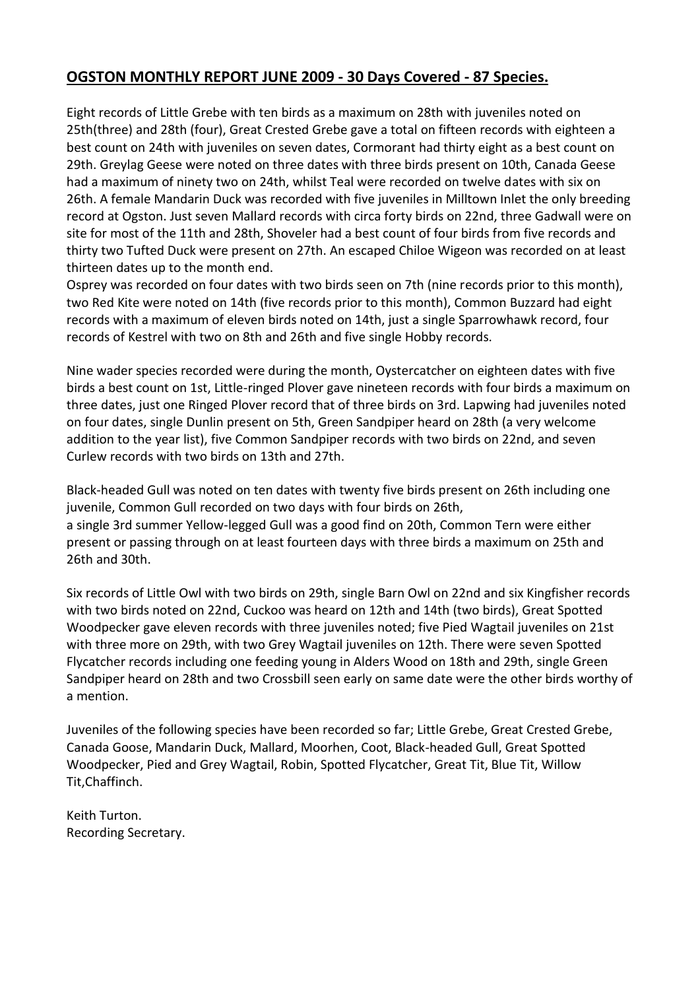## **OGSTON MONTHLY REPORT JUNE 2009 - 30 Days Covered - 87 Species.**

Eight records of Little Grebe with ten birds as a maximum on 28th with juveniles noted on 25th(three) and 28th (four), Great Crested Grebe gave a total on fifteen records with eighteen a best count on 24th with juveniles on seven dates, Cormorant had thirty eight as a best count on 29th. Greylag Geese were noted on three dates with three birds present on 10th, Canada Geese had a maximum of ninety two on 24th, whilst Teal were recorded on twelve dates with six on 26th. A female Mandarin Duck was recorded with five juveniles in Milltown Inlet the only breeding record at Ogston. Just seven Mallard records with circa forty birds on 22nd, three Gadwall were on site for most of the 11th and 28th, Shoveler had a best count of four birds from five records and thirty two Tufted Duck were present on 27th. An escaped Chiloe Wigeon was recorded on at least thirteen dates up to the month end.

Osprey was recorded on four dates with two birds seen on 7th (nine records prior to this month), two Red Kite were noted on 14th (five records prior to this month), Common Buzzard had eight records with a maximum of eleven birds noted on 14th, just a single Sparrowhawk record, four records of Kestrel with two on 8th and 26th and five single Hobby records.

Nine wader species recorded were during the month, Oystercatcher on eighteen dates with five birds a best count on 1st, Little-ringed Plover gave nineteen records with four birds a maximum on three dates, just one Ringed Plover record that of three birds on 3rd. Lapwing had juveniles noted on four dates, single Dunlin present on 5th, Green Sandpiper heard on 28th (a very welcome addition to the year list), five Common Sandpiper records with two birds on 22nd, and seven Curlew records with two birds on 13th and 27th.

Black-headed Gull was noted on ten dates with twenty five birds present on 26th including one juvenile, Common Gull recorded on two days with four birds on 26th, a single 3rd summer Yellow-legged Gull was a good find on 20th, Common Tern were either present or passing through on at least fourteen days with three birds a maximum on 25th and 26th and 30th.

Six records of Little Owl with two birds on 29th, single Barn Owl on 22nd and six Kingfisher records with two birds noted on 22nd, Cuckoo was heard on 12th and 14th (two birds), Great Spotted Woodpecker gave eleven records with three juveniles noted; five Pied Wagtail juveniles on 21st with three more on 29th, with two Grey Wagtail juveniles on 12th. There were seven Spotted Flycatcher records including one feeding young in Alders Wood on 18th and 29th, single Green Sandpiper heard on 28th and two Crossbill seen early on same date were the other birds worthy of a mention.

Juveniles of the following species have been recorded so far; Little Grebe, Great Crested Grebe, Canada Goose, Mandarin Duck, Mallard, Moorhen, Coot, Black-headed Gull, Great Spotted Woodpecker, Pied and Grey Wagtail, Robin, Spotted Flycatcher, Great Tit, Blue Tit, Willow Tit,Chaffinch.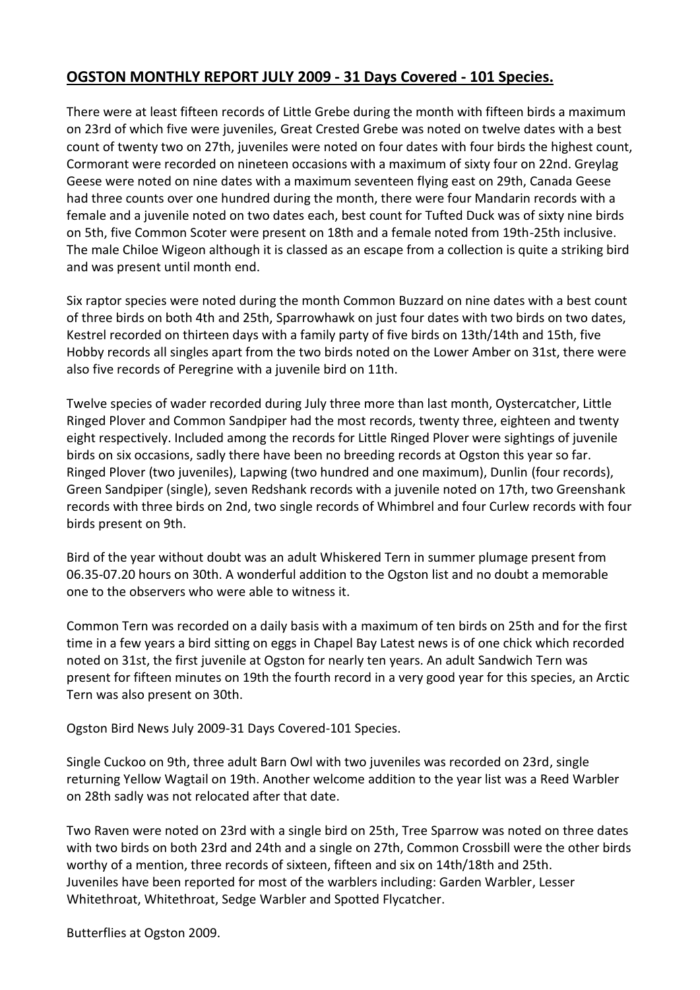## **OGSTON MONTHLY REPORT JULY 2009 - 31 Days Covered - 101 Species.**

There were at least fifteen records of Little Grebe during the month with fifteen birds a maximum on 23rd of which five were juveniles, Great Crested Grebe was noted on twelve dates with a best count of twenty two on 27th, juveniles were noted on four dates with four birds the highest count, Cormorant were recorded on nineteen occasions with a maximum of sixty four on 22nd. Greylag Geese were noted on nine dates with a maximum seventeen flying east on 29th, Canada Geese had three counts over one hundred during the month, there were four Mandarin records with a female and a juvenile noted on two dates each, best count for Tufted Duck was of sixty nine birds on 5th, five Common Scoter were present on 18th and a female noted from 19th-25th inclusive. The male Chiloe Wigeon although it is classed as an escape from a collection is quite a striking bird and was present until month end.

Six raptor species were noted during the month Common Buzzard on nine dates with a best count of three birds on both 4th and 25th, Sparrowhawk on just four dates with two birds on two dates, Kestrel recorded on thirteen days with a family party of five birds on 13th/14th and 15th, five Hobby records all singles apart from the two birds noted on the Lower Amber on 31st, there were also five records of Peregrine with a juvenile bird on 11th.

Twelve species of wader recorded during July three more than last month, Oystercatcher, Little Ringed Plover and Common Sandpiper had the most records, twenty three, eighteen and twenty eight respectively. Included among the records for Little Ringed Plover were sightings of juvenile birds on six occasions, sadly there have been no breeding records at Ogston this year so far. Ringed Plover (two juveniles), Lapwing (two hundred and one maximum), Dunlin (four records), Green Sandpiper (single), seven Redshank records with a juvenile noted on 17th, two Greenshank records with three birds on 2nd, two single records of Whimbrel and four Curlew records with four birds present on 9th.

Bird of the year without doubt was an adult Whiskered Tern in summer plumage present from 06.35-07.20 hours on 30th. A wonderful addition to the Ogston list and no doubt a memorable one to the observers who were able to witness it.

Common Tern was recorded on a daily basis with a maximum of ten birds on 25th and for the first time in a few years a bird sitting on eggs in Chapel Bay Latest news is of one chick which recorded noted on 31st, the first juvenile at Ogston for nearly ten years. An adult Sandwich Tern was present for fifteen minutes on 19th the fourth record in a very good year for this species, an Arctic Tern was also present on 30th.

Ogston Bird News July 2009-31 Days Covered-101 Species.

Single Cuckoo on 9th, three adult Barn Owl with two juveniles was recorded on 23rd, single returning Yellow Wagtail on 19th. Another welcome addition to the year list was a Reed Warbler on 28th sadly was not relocated after that date.

Two Raven were noted on 23rd with a single bird on 25th, Tree Sparrow was noted on three dates with two birds on both 23rd and 24th and a single on 27th, Common Crossbill were the other birds worthy of a mention, three records of sixteen, fifteen and six on 14th/18th and 25th. Juveniles have been reported for most of the warblers including: Garden Warbler, Lesser Whitethroat, Whitethroat, Sedge Warbler and Spotted Flycatcher.

Butterflies at Ogston 2009.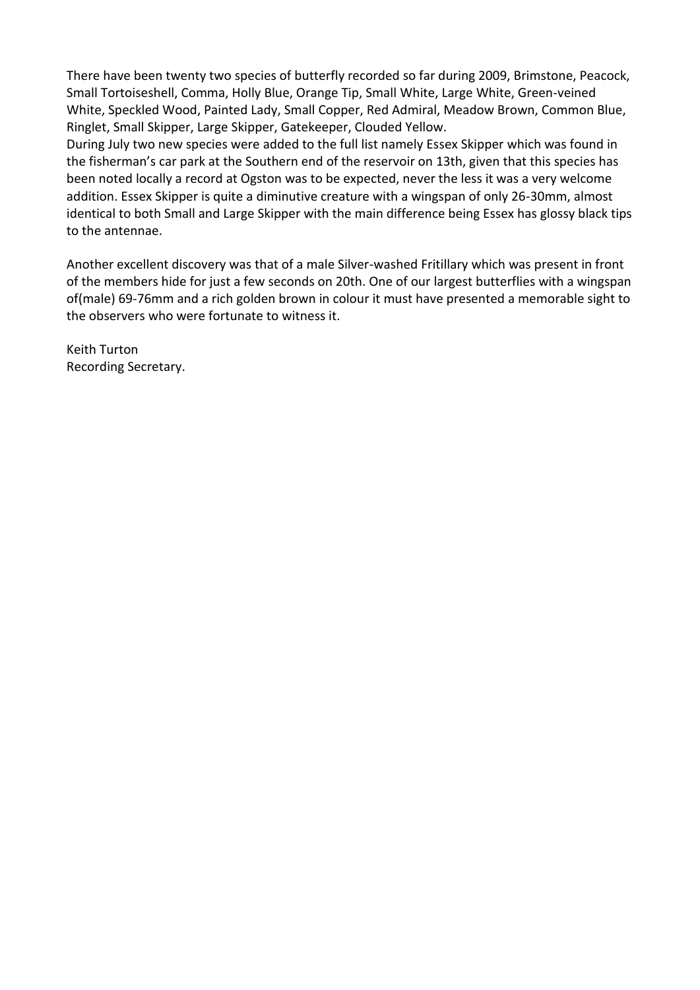There have been twenty two species of butterfly recorded so far during 2009, Brimstone, Peacock, Small Tortoiseshell, Comma, Holly Blue, Orange Tip, Small White, Large White, Green-veined White, Speckled Wood, Painted Lady, Small Copper, Red Admiral, Meadow Brown, Common Blue, Ringlet, Small Skipper, Large Skipper, Gatekeeper, Clouded Yellow.

During July two new species were added to the full list namely Essex Skipper which was found in the fisherman's car park at the Southern end of the reservoir on 13th, given that this species has been noted locally a record at Ogston was to be expected, never the less it was a very welcome addition. Essex Skipper is quite a diminutive creature with a wingspan of only 26-30mm, almost identical to both Small and Large Skipper with the main difference being Essex has glossy black tips to the antennae.

Another excellent discovery was that of a male Silver-washed Fritillary which was present in front of the members hide for just a few seconds on 20th. One of our largest butterflies with a wingspan of(male) 69-76mm and a rich golden brown in colour it must have presented a memorable sight to the observers who were fortunate to witness it.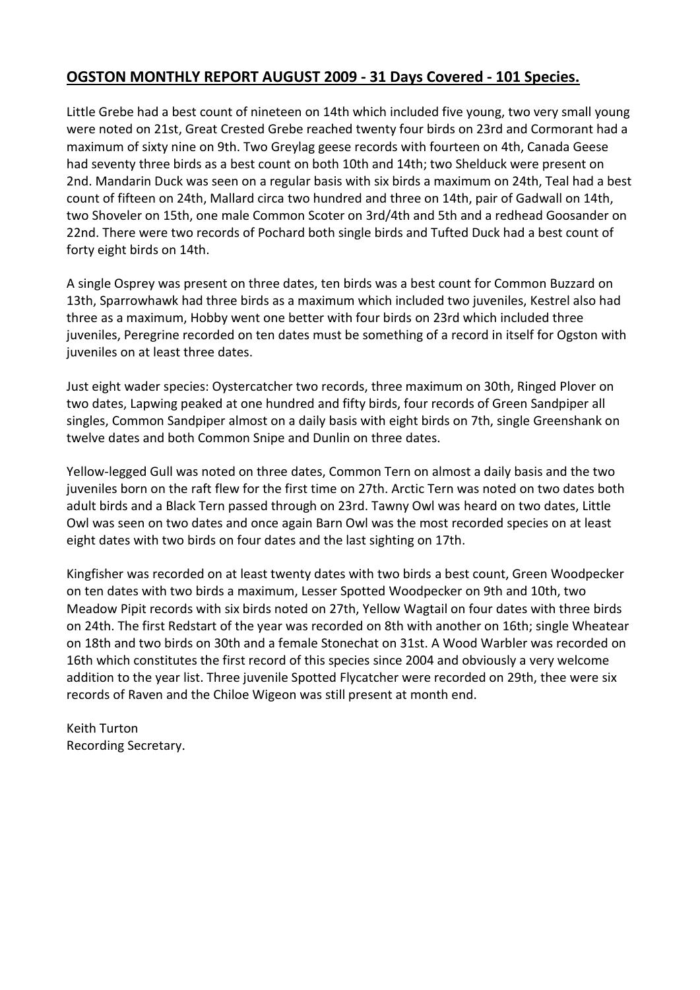## **OGSTON MONTHLY REPORT AUGUST 2009 - 31 Days Covered - 101 Species.**

Little Grebe had a best count of nineteen on 14th which included five young, two very small young were noted on 21st, Great Crested Grebe reached twenty four birds on 23rd and Cormorant had a maximum of sixty nine on 9th. Two Greylag geese records with fourteen on 4th, Canada Geese had seventy three birds as a best count on both 10th and 14th; two Shelduck were present on 2nd. Mandarin Duck was seen on a regular basis with six birds a maximum on 24th, Teal had a best count of fifteen on 24th, Mallard circa two hundred and three on 14th, pair of Gadwall on 14th, two Shoveler on 15th, one male Common Scoter on 3rd/4th and 5th and a redhead Goosander on 22nd. There were two records of Pochard both single birds and Tufted Duck had a best count of forty eight birds on 14th.

A single Osprey was present on three dates, ten birds was a best count for Common Buzzard on 13th, Sparrowhawk had three birds as a maximum which included two juveniles, Kestrel also had three as a maximum, Hobby went one better with four birds on 23rd which included three juveniles, Peregrine recorded on ten dates must be something of a record in itself for Ogston with juveniles on at least three dates.

Just eight wader species: Oystercatcher two records, three maximum on 30th, Ringed Plover on two dates, Lapwing peaked at one hundred and fifty birds, four records of Green Sandpiper all singles, Common Sandpiper almost on a daily basis with eight birds on 7th, single Greenshank on twelve dates and both Common Snipe and Dunlin on three dates.

Yellow-legged Gull was noted on three dates, Common Tern on almost a daily basis and the two juveniles born on the raft flew for the first time on 27th. Arctic Tern was noted on two dates both adult birds and a Black Tern passed through on 23rd. Tawny Owl was heard on two dates, Little Owl was seen on two dates and once again Barn Owl was the most recorded species on at least eight dates with two birds on four dates and the last sighting on 17th.

Kingfisher was recorded on at least twenty dates with two birds a best count, Green Woodpecker on ten dates with two birds a maximum, Lesser Spotted Woodpecker on 9th and 10th, two Meadow Pipit records with six birds noted on 27th, Yellow Wagtail on four dates with three birds on 24th. The first Redstart of the year was recorded on 8th with another on 16th; single Wheatear on 18th and two birds on 30th and a female Stonechat on 31st. A Wood Warbler was recorded on 16th which constitutes the first record of this species since 2004 and obviously a very welcome addition to the year list. Three juvenile Spotted Flycatcher were recorded on 29th, thee were six records of Raven and the Chiloe Wigeon was still present at month end.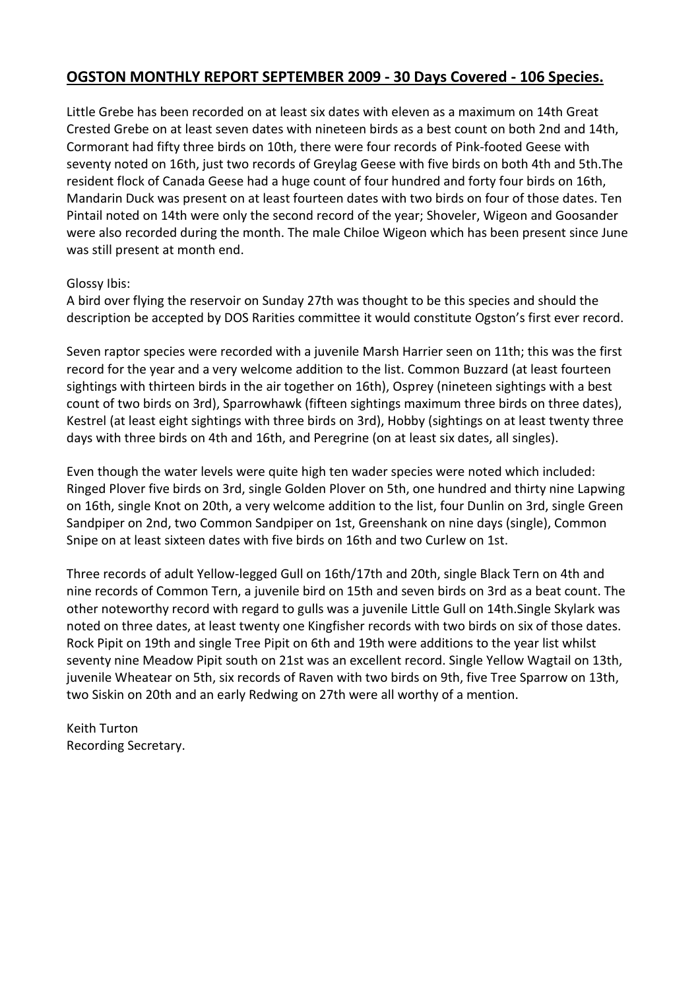## **OGSTON MONTHLY REPORT SEPTEMBER 2009 - 30 Days Covered - 106 Species.**

Little Grebe has been recorded on at least six dates with eleven as a maximum on 14th Great Crested Grebe on at least seven dates with nineteen birds as a best count on both 2nd and 14th, Cormorant had fifty three birds on 10th, there were four records of Pink-footed Geese with seventy noted on 16th, just two records of Greylag Geese with five birds on both 4th and 5th.The resident flock of Canada Geese had a huge count of four hundred and forty four birds on 16th, Mandarin Duck was present on at least fourteen dates with two birds on four of those dates. Ten Pintail noted on 14th were only the second record of the year; Shoveler, Wigeon and Goosander were also recorded during the month. The male Chiloe Wigeon which has been present since June was still present at month end.

#### Glossy Ibis:

A bird over flying the reservoir on Sunday 27th was thought to be this species and should the description be accepted by DOS Rarities committee it would constitute Ogston's first ever record.

Seven raptor species were recorded with a juvenile Marsh Harrier seen on 11th; this was the first record for the year and a very welcome addition to the list. Common Buzzard (at least fourteen sightings with thirteen birds in the air together on 16th), Osprey (nineteen sightings with a best count of two birds on 3rd), Sparrowhawk (fifteen sightings maximum three birds on three dates), Kestrel (at least eight sightings with three birds on 3rd), Hobby (sightings on at least twenty three days with three birds on 4th and 16th, and Peregrine (on at least six dates, all singles).

Even though the water levels were quite high ten wader species were noted which included: Ringed Plover five birds on 3rd, single Golden Plover on 5th, one hundred and thirty nine Lapwing on 16th, single Knot on 20th, a very welcome addition to the list, four Dunlin on 3rd, single Green Sandpiper on 2nd, two Common Sandpiper on 1st, Greenshank on nine days (single), Common Snipe on at least sixteen dates with five birds on 16th and two Curlew on 1st.

Three records of adult Yellow-legged Gull on 16th/17th and 20th, single Black Tern on 4th and nine records of Common Tern, a juvenile bird on 15th and seven birds on 3rd as a beat count. The other noteworthy record with regard to gulls was a juvenile Little Gull on 14th.Single Skylark was noted on three dates, at least twenty one Kingfisher records with two birds on six of those dates. Rock Pipit on 19th and single Tree Pipit on 6th and 19th were additions to the year list whilst seventy nine Meadow Pipit south on 21st was an excellent record. Single Yellow Wagtail on 13th, juvenile Wheatear on 5th, six records of Raven with two birds on 9th, five Tree Sparrow on 13th, two Siskin on 20th and an early Redwing on 27th were all worthy of a mention.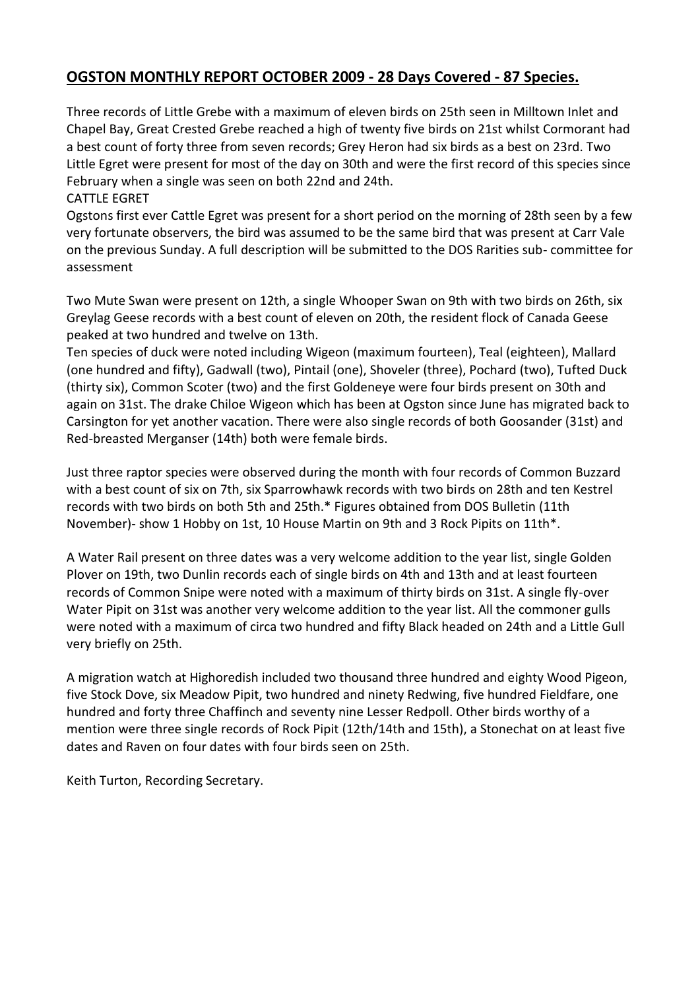# **OGSTON MONTHLY REPORT OCTOBER 2009 - 28 Days Covered - 87 Species.**

Three records of Little Grebe with a maximum of eleven birds on 25th seen in Milltown Inlet and Chapel Bay, Great Crested Grebe reached a high of twenty five birds on 21st whilst Cormorant had a best count of forty three from seven records; Grey Heron had six birds as a best on 23rd. Two Little Egret were present for most of the day on 30th and were the first record of this species since February when a single was seen on both 22nd and 24th.

CATTLE EGRET

Ogstons first ever Cattle Egret was present for a short period on the morning of 28th seen by a few very fortunate observers, the bird was assumed to be the same bird that was present at Carr Vale on the previous Sunday. A full description will be submitted to the DOS Rarities sub- committee for assessment

Two Mute Swan were present on 12th, a single Whooper Swan on 9th with two birds on 26th, six Greylag Geese records with a best count of eleven on 20th, the resident flock of Canada Geese peaked at two hundred and twelve on 13th.

Ten species of duck were noted including Wigeon (maximum fourteen), Teal (eighteen), Mallard (one hundred and fifty), Gadwall (two), Pintail (one), Shoveler (three), Pochard (two), Tufted Duck (thirty six), Common Scoter (two) and the first Goldeneye were four birds present on 30th and again on 31st. The drake Chiloe Wigeon which has been at Ogston since June has migrated back to Carsington for yet another vacation. There were also single records of both Goosander (31st) and Red-breasted Merganser (14th) both were female birds.

Just three raptor species were observed during the month with four records of Common Buzzard with a best count of six on 7th, six Sparrowhawk records with two birds on 28th and ten Kestrel records with two birds on both 5th and 25th.\* Figures obtained from DOS Bulletin (11th November)- show 1 Hobby on 1st, 10 House Martin on 9th and 3 Rock Pipits on 11th\*.

A Water Rail present on three dates was a very welcome addition to the year list, single Golden Plover on 19th, two Dunlin records each of single birds on 4th and 13th and at least fourteen records of Common Snipe were noted with a maximum of thirty birds on 31st. A single fly-over Water Pipit on 31st was another very welcome addition to the year list. All the commoner gulls were noted with a maximum of circa two hundred and fifty Black headed on 24th and a Little Gull very briefly on 25th.

A migration watch at Highoredish included two thousand three hundred and eighty Wood Pigeon, five Stock Dove, six Meadow Pipit, two hundred and ninety Redwing, five hundred Fieldfare, one hundred and forty three Chaffinch and seventy nine Lesser Redpoll. Other birds worthy of a mention were three single records of Rock Pipit (12th/14th and 15th), a Stonechat on at least five dates and Raven on four dates with four birds seen on 25th.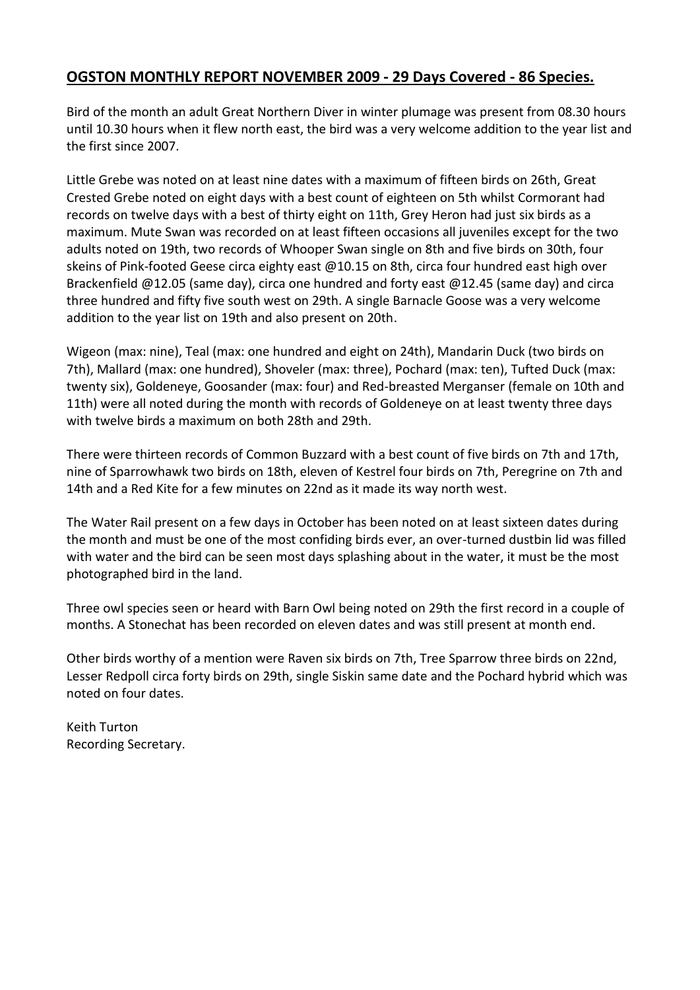### **OGSTON MONTHLY REPORT NOVEMBER 2009 - 29 Days Covered - 86 Species.**

Bird of the month an adult Great Northern Diver in winter plumage was present from 08.30 hours until 10.30 hours when it flew north east, the bird was a very welcome addition to the year list and the first since 2007.

Little Grebe was noted on at least nine dates with a maximum of fifteen birds on 26th, Great Crested Grebe noted on eight days with a best count of eighteen on 5th whilst Cormorant had records on twelve days with a best of thirty eight on 11th, Grey Heron had just six birds as a maximum. Mute Swan was recorded on at least fifteen occasions all juveniles except for the two adults noted on 19th, two records of Whooper Swan single on 8th and five birds on 30th, four skeins of Pink-footed Geese circa eighty east @10.15 on 8th, circa four hundred east high over Brackenfield @12.05 (same day), circa one hundred and forty east @12.45 (same day) and circa three hundred and fifty five south west on 29th. A single Barnacle Goose was a very welcome addition to the year list on 19th and also present on 20th.

Wigeon (max: nine), Teal (max: one hundred and eight on 24th), Mandarin Duck (two birds on 7th), Mallard (max: one hundred), Shoveler (max: three), Pochard (max: ten), Tufted Duck (max: twenty six), Goldeneye, Goosander (max: four) and Red-breasted Merganser (female on 10th and 11th) were all noted during the month with records of Goldeneye on at least twenty three days with twelve birds a maximum on both 28th and 29th.

There were thirteen records of Common Buzzard with a best count of five birds on 7th and 17th, nine of Sparrowhawk two birds on 18th, eleven of Kestrel four birds on 7th, Peregrine on 7th and 14th and a Red Kite for a few minutes on 22nd as it made its way north west.

The Water Rail present on a few days in October has been noted on at least sixteen dates during the month and must be one of the most confiding birds ever, an over-turned dustbin lid was filled with water and the bird can be seen most days splashing about in the water, it must be the most photographed bird in the land.

Three owl species seen or heard with Barn Owl being noted on 29th the first record in a couple of months. A Stonechat has been recorded on eleven dates and was still present at month end.

Other birds worthy of a mention were Raven six birds on 7th, Tree Sparrow three birds on 22nd, Lesser Redpoll circa forty birds on 29th, single Siskin same date and the Pochard hybrid which was noted on four dates.